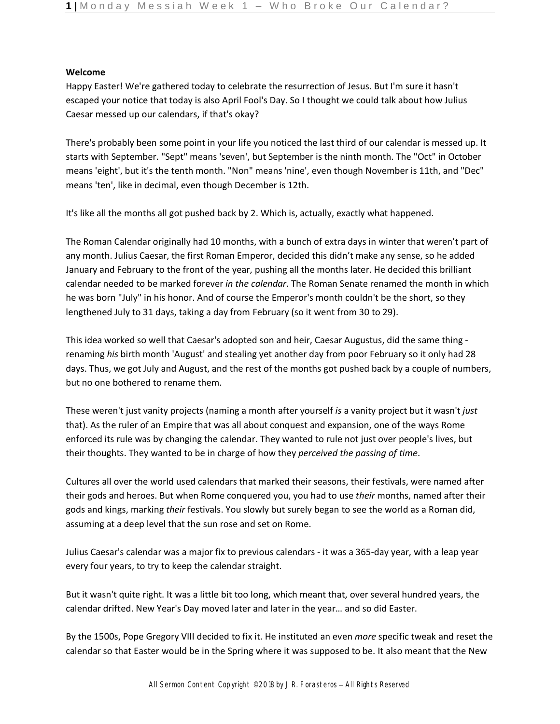# **Welcome**

Happy Easter! We're gathered today to celebrate the resurrection of Jesus. But I'm sure it hasn't escaped your notice that today is also April Fool's Day. So I thought we could talk about how Julius Caesar messed up our calendars, if that's okay?

There's probably been some point in your life you noticed the last third of our calendar is messed up. It starts with September. "Sept" means 'seven', but September is the ninth month. The "Oct" in October means 'eight', but it's the tenth month. "Non" means 'nine', even though November is 11th, and "Dec" means 'ten', like in decimal, even though December is 12th.

It's like all the months all got pushed back by 2. Which is, actually, exactly what happened.

The Roman Calendar originally had 10 months, with a bunch of extra days in winter that weren't part of any month. Julius Caesar, the first Roman Emperor, decided this didn't make any sense, so he added January and February to the front of the year, pushing all the months later. He decided this brilliant calendar needed to be marked forever *in the calendar*. The Roman Senate renamed the month in which he was born "July" in his honor. And of course the Emperor's month couldn't be the short, so they lengthened July to 31 days, taking a day from February (so it went from 30 to 29).

This idea worked so well that Caesar's adopted son and heir, Caesar Augustus, did the same thing renaming *his* birth month 'August' and stealing yet another day from poor February so it only had 28 days. Thus, we got July and August, and the rest of the months got pushed back by a couple of numbers, but no one bothered to rename them.

These weren't just vanity projects (naming a month after yourself *is* a vanity project but it wasn't *just*  that). As the ruler of an Empire that was all about conquest and expansion, one of the ways Rome enforced its rule was by changing the calendar. They wanted to rule not just over people's lives, but their thoughts. They wanted to be in charge of how they *perceived the passing of time*.

Cultures all over the world used calendars that marked their seasons, their festivals, were named after their gods and heroes. But when Rome conquered you, you had to use *their* months, named after their gods and kings, marking *their* festivals. You slowly but surely began to see the world as a Roman did, assuming at a deep level that the sun rose and set on Rome.

Julius Caesar's calendar was a major fix to previous calendars - it was a 365-day year, with a leap year every four years, to try to keep the calendar straight.

But it wasn't quite right. It was a little bit too long, which meant that, over several hundred years, the calendar drifted. New Year's Day moved later and later in the year… and so did Easter.

By the 1500s, Pope Gregory VIII decided to fix it. He instituted an even *more* specific tweak and reset the calendar so that Easter would be in the Spring where it was supposed to be. It also meant that the New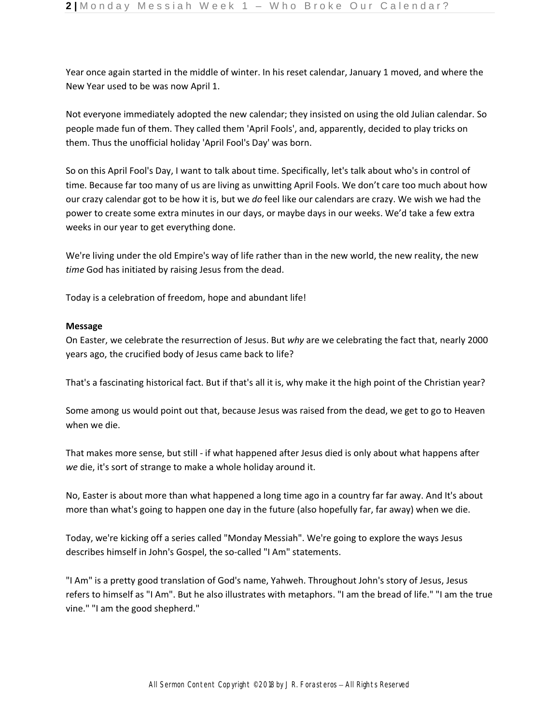Year once again started in the middle of winter. In his reset calendar, January 1 moved, and where the New Year used to be was now April 1.

Not everyone immediately adopted the new calendar; they insisted on using the old Julian calendar. So people made fun of them. They called them 'April Fools', and, apparently, decided to play tricks on them. Thus the unofficial holiday 'April Fool's Day' was born.

So on this April Fool's Day, I want to talk about time. Specifically, let's talk about who's in control of time. Because far too many of us are living as unwitting April Fools. We don't care too much about how our crazy calendar got to be how it is, but we *do* feel like our calendars are crazy. We wish we had the power to create some extra minutes in our days, or maybe days in our weeks. We'd take a few extra weeks in our year to get everything done.

We're living under the old Empire's way of life rather than in the new world, the new reality, the new *time* God has initiated by raising Jesus from the dead.

Today is a celebration of freedom, hope and abundant life!

## **Message**

On Easter, we celebrate the resurrection of Jesus. But *why* are we celebrating the fact that, nearly 2000 years ago, the crucified body of Jesus came back to life?

That's a fascinating historical fact. But if that's all it is, why make it the high point of the Christian year?

Some among us would point out that, because Jesus was raised from the dead, we get to go to Heaven when we die.

That makes more sense, but still - if what happened after Jesus died is only about what happens after *we* die, it's sort of strange to make a whole holiday around it.

No, Easter is about more than what happened a long time ago in a country far far away. And It's about more than what's going to happen one day in the future (also hopefully far, far away) when we die.

Today, we're kicking off a series called "Monday Messiah". We're going to explore the ways Jesus describes himself in John's Gospel, the so-called "I Am" statements.

"I Am" is a pretty good translation of God's name, Yahweh. Throughout John's story of Jesus, Jesus refers to himself as "I Am". But he also illustrates with metaphors. "I am the bread of life." "I am the true vine." "I am the good shepherd."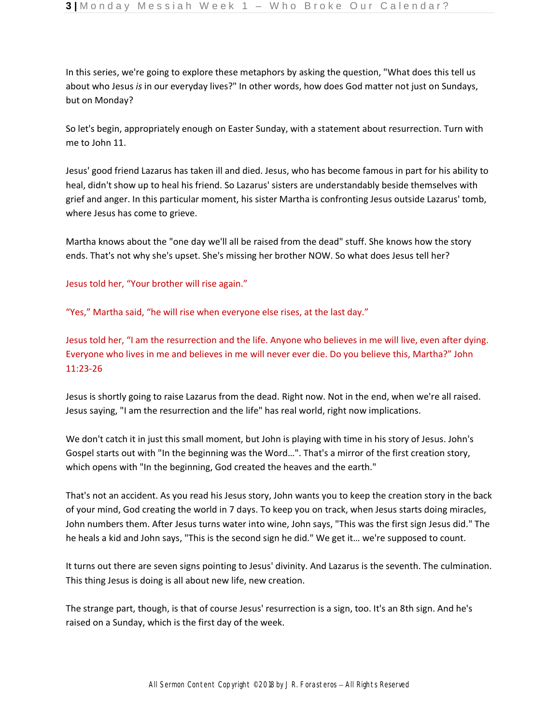In this series, we're going to explore these metaphors by asking the question, "What does this tell us about who Jesus *is* in our everyday lives?" In other words, how does God matter not just on Sundays, but on Monday?

So let's begin, appropriately enough on Easter Sunday, with a statement about resurrection. Turn with me to John 11.

Jesus' good friend Lazarus has taken ill and died. Jesus, who has become famous in part for his ability to heal, didn't show up to heal his friend. So Lazarus' sisters are understandably beside themselves with grief and anger. In this particular moment, his sister Martha is confronting Jesus outside Lazarus' tomb, where Jesus has come to grieve.

Martha knows about the "one day we'll all be raised from the dead" stuff. She knows how the story ends. That's not why she's upset. She's missing her brother NOW. So what does Jesus tell her?

Jesus told her, "Your brother will rise again."

"Yes," Martha said, "he will rise when everyone else rises, at the last day."

Jesus told her, "I am the resurrection and the life. Anyone who believes in me will live, even after dying. Everyone who lives in me and believes in me will never ever die. Do you believe this, Martha?" John 11:23-26

Jesus is shortly going to raise Lazarus from the dead. Right now. Not in the end, when we're all raised. Jesus saying, "I am the resurrection and the life" has real world, right now implications.

We don't catch it in just this small moment, but John is playing with time in his story of Jesus. John's Gospel starts out with "In the beginning was the Word…". That's a mirror of the first creation story, which opens with "In the beginning, God created the heaves and the earth."

That's not an accident. As you read his Jesus story, John wants you to keep the creation story in the back of your mind, God creating the world in 7 days. To keep you on track, when Jesus starts doing miracles, John numbers them. After Jesus turns water into wine, John says, "This was the first sign Jesus did." The he heals a kid and John says, "This is the second sign he did." We get it… we're supposed to count.

It turns out there are seven signs pointing to Jesus' divinity. And Lazarus is the seventh. The culmination. This thing Jesus is doing is all about new life, new creation.

The strange part, though, is that of course Jesus' resurrection is a sign, too. It's an 8th sign. And he's raised on a Sunday, which is the first day of the week.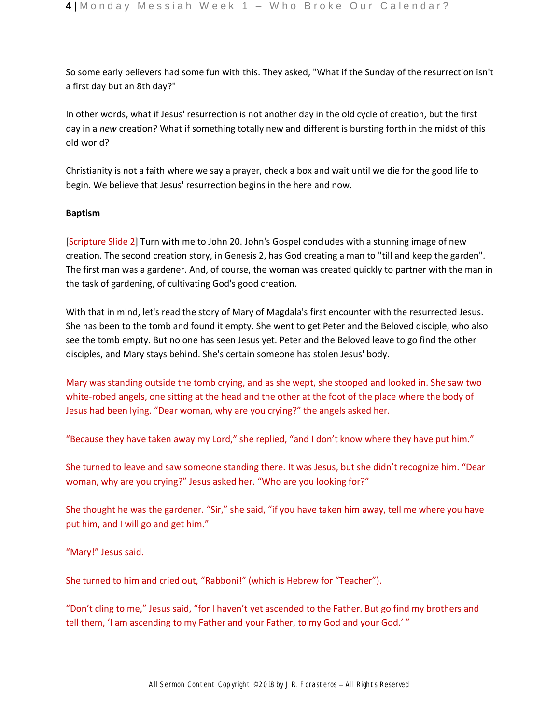So some early believers had some fun with this. They asked, "What if the Sunday of the resurrection isn't a first day but an 8th day?"

In other words, what if Jesus' resurrection is not another day in the old cycle of creation, but the first day in a *new* creation? What if something totally new and different is bursting forth in the midst of this old world?

Christianity is not a faith where we say a prayer, check a box and wait until we die for the good life to begin. We believe that Jesus' resurrection begins in the here and now.

## **Baptism**

[Scripture Slide 2] Turn with me to John 20. John's Gospel concludes with a stunning image of new creation. The second creation story, in Genesis 2, has God creating a man to "till and keep the garden". The first man was a gardener. And, of course, the woman was created quickly to partner with the man in the task of gardening, of cultivating God's good creation.

With that in mind, let's read the story of Mary of Magdala's first encounter with the resurrected Jesus. She has been to the tomb and found it empty. She went to get Peter and the Beloved disciple, who also see the tomb empty. But no one has seen Jesus yet. Peter and the Beloved leave to go find the other disciples, and Mary stays behind. She's certain someone has stolen Jesus' body.

Mary was standing outside the tomb crying, and as she wept, she stooped and looked in. She saw two white-robed angels, one sitting at the head and the other at the foot of the place where the body of Jesus had been lying. "Dear woman, why are you crying?" the angels asked her.

"Because they have taken away my Lord," she replied, "and I don't know where they have put him."

She turned to leave and saw someone standing there. It was Jesus, but she didn't recognize him. "Dear woman, why are you crying?" Jesus asked her. "Who are you looking for?"

She thought he was the gardener. "Sir," she said, "if you have taken him away, tell me where you have put him, and I will go and get him."

"Mary!" Jesus said.

She turned to him and cried out, "Rabboni!" (which is Hebrew for "Teacher").

"Don't cling to me," Jesus said, "for I haven't yet ascended to the Father. But go find my brothers and tell them, 'I am ascending to my Father and your Father, to my God and your God.'"